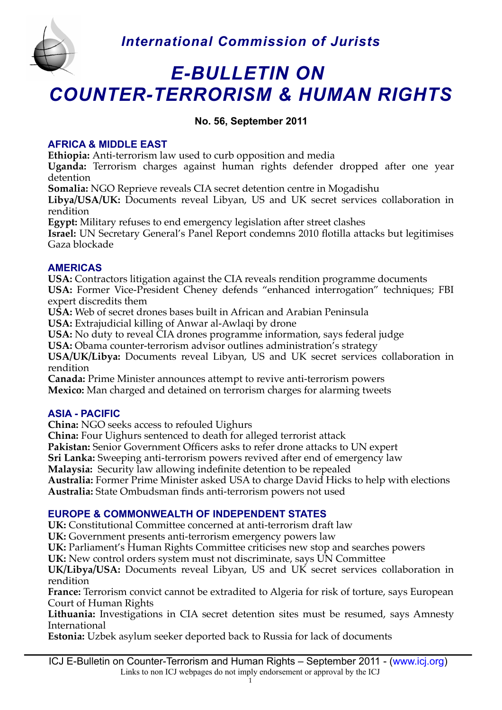

# *E-BULLETIN ON COUNTER-TERRORISM & HUMAN RIGHTS*

# **No. 56, September 2011**

# **AFRICA & MIDDLE EAST**

**Ethiopia:** Anti-terrorism law used to curb opposition and media

**Uganda:** Terrorism charges against human rights defender dropped after one year detention

**Somalia:** NGO Reprieve reveals CIA secret detention centre in Mogadishu

Libya/USA/UK: Documents reveal Libyan, US and UK secret services collaboration in rendition

**Egypt:** Military refuses to end emergency legislation after street clashes

**Israel:** UN Secretary General's Panel Report condemns 2010 fotilla attacks but legitimises Gaza blockade

## **AMERICAS**

**USA:** Contractors litigation against the CIA reveals rendition programme documents **USA:** Former Vice-President Cheney defends "enhanced interrogation" techniques; FBI expert discredits them

**USA:** Web of secret drones bases built in African and Arabian Peninsula

**USA:** Extrajudicial killing of Anwar al-Awlaqi by drone

**USA:** No duty to reveal CIA drones programme information, says federal judge

**USA:** Obama counter-terrorism advisor outlines administration's strategy

**USA/UK/Libya:** Documents reveal Libyan, US and UK secret services collaboration in rendition

**Canada:** Prime Minister announces attempt to revive anti-terrorism powers **Mexico:** Man charged and detained on terrorism charges for alarming tweets

# **ASIA - PACIFIC**

**China:** NGO seeks access to refouled Uighurs

**China:** Four Uighurs sentenced to death for alleged terrorist attack

Pakistan: Senior Government Officers asks to refer drone attacks to UN expert

**Sri Lanka:** Sweeping anti-terrorism powers revived after end of emergency law

**Malaysia:** Security law allowing indefnite detention to be repealed

**Australia:** Former Prime Minister asked USA to charge David Hicks to help with elections **Australia:** State Ombudsman fnds anti-terrorism powers not used

# **EUROPE & COMMONWEALTH OF INDEPENDENT STATES**

**UK:** Constitutional Committee concerned at anti-terrorism draft law

**UK:** Government presents anti-terrorism emergency powers law

**UK:** Parliament's Human Rights Committee criticises new stop and searches powers

UK: New control orders system must not discriminate, says UN Committee

**UK/Libya/USA:** Documents reveal Libyan, US and UK secret services collaboration in rendition

**France:** Terrorism convict cannot be extradited to Algeria for risk of torture, says European Court of Human Rights

Lithuania: Investigations in CIA secret detention sites must be resumed, says Amnesty International

**Estonia:** Uzbek asylum seeker deported back to Russia for lack of documents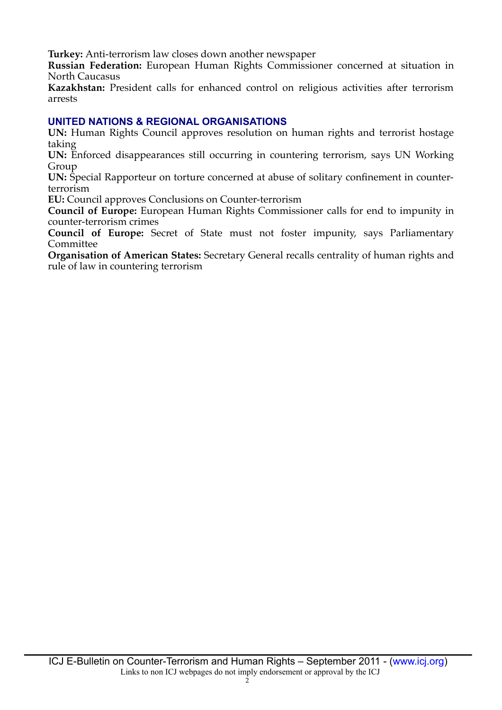**Turkey:** Anti-terrorism law closes down another newspaper

**Russian Federation:** European Human Rights Commissioner concerned at situation in North Caucasus

**Kazakhstan:** President calls for enhanced control on religious activities after terrorism arrests

### **UNITED NATIONS & REGIONAL ORGANISATIONS**

**UN:** Human Rights Council approves resolution on human rights and terrorist hostage taking

**UN:** Enforced disappearances still occurring in countering terrorism, says UN Working Group

**UN:** Special Rapporteur on torture concerned at abuse of solitary confnement in counterterrorism

**EU:** Council approves Conclusions on Counter-terrorism

**Council of Europe:** European Human Rights Commissioner calls for end to impunity in counter-terrorism crimes

**Council of Europe:** Secret of State must not foster impunity, says Parliamentary Committee

**Organisation of American States:** Secretary General recalls centrality of human rights and rule of law in countering terrorism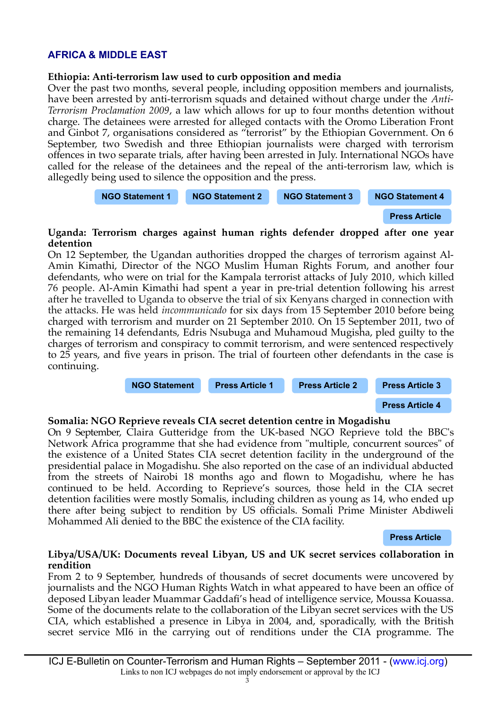## **AFRICA & MIDDLE EAST**

#### **Ethiopia: Anti-terrorism law used to curb opposition and media**

Over the past two months, several people, including opposition members and journalists, have been arrested by anti-terrorism squads and detained without charge under the *Anti-Terrorism Proclamation 2009*, a law which allows for up to four months detention without charge. The detainees were arrested for alleged contacts with the Oromo Liberation Front and Ginbot 7, organisations considered as "terrorist" by the Ethiopian Government. On 6 September, two Swedish and three Ethiopian journalists were charged with terrorism offences in two separate trials, after having been arrested in July. International NGOs have called for the release of the detainees and the repeal of the anti-terrorism law, which is allegedly being used to silence the opposition and the press.



**[Press Article](http://www.thelocal.se/36036/20110909/)**

#### **Uganda: Terrorism charges against human rights defender dropped after one year detention**

On 12 September, the Ugandan authorities dropped the charges of terrorism against Al-Amin Kimathi, Director of the NGO Muslim Human Rights Forum, and another four defendants, who were on trial for the Kampala terrorist attacks of July 2010, which killed 76 people. Al-Amin Kimathi had spent a year in pre-trial detention following his arrest after he travelled to Uganda to observe the trial of six Kenyans charged in connection with the attacks. He was held *incommunicado* for six days from 15 September 2010 before being charged with terrorism and murder on 21 September 2010. On 15 September 2011, two of the remaining 14 defendants, Edris Nsubuga and Muhamoud Mugisha, pled guilty to the charges of terrorism and conspiracy to commit terrorism, and were sentenced respectively to 25 years, and fve years in prison. The trial of fourteen other defendants in the case is continuing.



#### **Somalia: NGO Reprieve reveals CIA secret detention centre in Mogadishu**

On 9 September, Claira Gutteridge from the UK-based NGO Reprieve told the BBC's Network Africa programme that she had evidence from "multiple, concurrent sources" of the existence of a United States CIA secret detention facility in the underground of the presidential palace in Mogadishu. She also reported on the case of an individual abducted from the streets of Nairobi 18 months ago and flown to Mogadishu, where he has continued to be held. According to Reprieve's sources, those held in the CIA secret detention facilities were mostly Somalis, including children as young as 14, who ended up there after being subject to rendition by US officials. Somali Prime Minister Abdiweli Mohammed Ali denied to the BBC the existence of the CIA facility.

#### **[Press Article](http://www.bbc.co.uk/news/world-africa-14850581)**

#### <span id="page-2-0"></span>**Libya/USA/UK: Documents reveal Libyan, US and UK secret services collaboration in rendition**

From 2 to 9 September, hundreds of thousands of secret documents were uncovered by journalists and the NGO Human Rights Watch in what appeared to have been an office of deposed Libyan leader Muammar Gaddaf's head of intelligence service, Moussa Kouassa. Some of the documents relate to the collaboration of the Libyan secret services with the US CIA, which established a presence in Libya in 2004, and, sporadically, with the British secret service MI6 in the carrying out of renditions under the CIA programme. The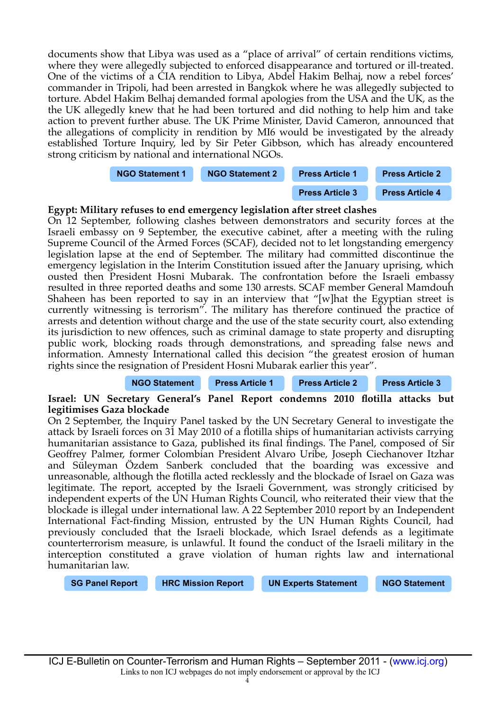documents show that Libya was used as a "place of arrival" of certain renditions victims, where they were allegedly subjected to enforced disappearance and tortured or ill-treated. One of the victims of a CIA rendition to Libya, Abdel Hakim Belhaj, now a rebel forces' commander in Tripoli, had been arrested in Bangkok where he was allegedly subjected to torture. Abdel Hakim Belhaj demanded formal apologies from the USA and the UK, as the the UK allegedly knew that he had been tortured and did nothing to help him and take action to prevent further abuse. The UK Prime Minister, David Cameron, announced that the allegations of complicity in rendition by MI6 would be investigated by the already established Torture Inquiry, led by Sir Peter Gibbson, which has already encountered strong criticism by national and international NGOs.



#### **Egypt: Military refuses to end emergency legislation after street clashes**

On 12 September, following clashes between demonstrators and security forces at the Israeli embassy on 9 September, the executive cabinet, after a meeting with the ruling Supreme Council of the Armed Forces (SCAF), decided not to let longstanding emergency legislation lapse at the end of September. The military had committed discontinue the emergency legislation in the Interim Constitution issued after the January uprising, which ousted then President Hosni Mubarak. The confrontation before the Israeli embassy resulted in three reported deaths and some 130 arrests. SCAF member General Mamdouh Shaheen has been reported to say in an interview that "[w]hat the Egyptian street is currently witnessing is terrorism". The military has therefore continued the practice of arrests and detention without charge and the use of the state security court, also extending its jurisdiction to new offences, such as criminal damage to state property and disrupting public work, blocking roads through demonstrations, and spreading false news and information. Amnesty International called this decision "the greatest erosion of human rights since the resignation of President Hosni Mubarak earlier this year".

#### **[NGO Statement](http://www.amnesty.org/en/news-and-updates/egypt-emergency-law-biggest-threat-rights-%E2%80%9825-january-revolution%E2%80%99-2011-09-15) [Press Article 1](http://www.washingtonpost.com/world/middle-east/egypts-military-rulers-assert-wider-powers-in-wake-of-attack-on-israeli-embassy/2011/09/16/gIQADbTIYK_story.html?wpisrc=nl_cuzheads) [Press Article 2](http://www.almasryalyoum.com/en/node/495212) [Press Article 3](http://www.almasryalyoum.com/en/node/498235)**

#### **Israel: UN Secretary General's Panel Report condemns 2010 fotilla attacks but legitimises Gaza blockade**

On 2 September, the Inquiry Panel tasked by the UN Secretary General to investigate the attack by Israeli forces on 31 May 2010 of a fotilla ships of humanitarian activists carrying humanitarian assistance to Gaza, published its final findings. The Panel, composed of Sir Geoffrey Palmer, former Colombian President Alvaro Uribe, Joseph Ciechanover Itzhar and Süleyman Özdem Sanberk concluded that the boarding was excessive and unreasonable, although the fotilla acted recklessly and the blockade of Israel on Gaza was legitimate. The report, accepted by the Israeli Government, was strongly criticised by independent experts of the UN Human Rights Council, who reiterated their view that the blockade is illegal under international law. A 22 September 2010 report by an Independent International Fact-fnding Mission, entrusted by the UN Human Rights Council, had previously concluded that the Israeli blockade, which Israel defends as a legitimate counterterrorism measure, is unlawful. It found the conduct of the Israeli military in the interception constituted a grave violation of human rights law and international humanitarian law.

**[SG Panel Report](http://www.un.org/News/dh/infocus/middle_east/Gaza_Flotilla_Panel_Report.pdf) [HRC Mission Report](http://www2.ohchr.org/english/bodies/hrcouncil/docs/15session/A.HRC.15.21_en.pdf) [UN Experts Statement](http://www.unog.ch/unog/website/news_media.nsf/(httpNewsByYear_en)/A1CCEFBD992D3904C125790A002B31BD?OpenDocument) [NGO Statement](http://www.pchrgaza.org/portal/en/index.php?option=com_content&view=article&id=7687:pchr-condemns-palmer-report-&catid=36:pchrpressreleases&Itemid=194)**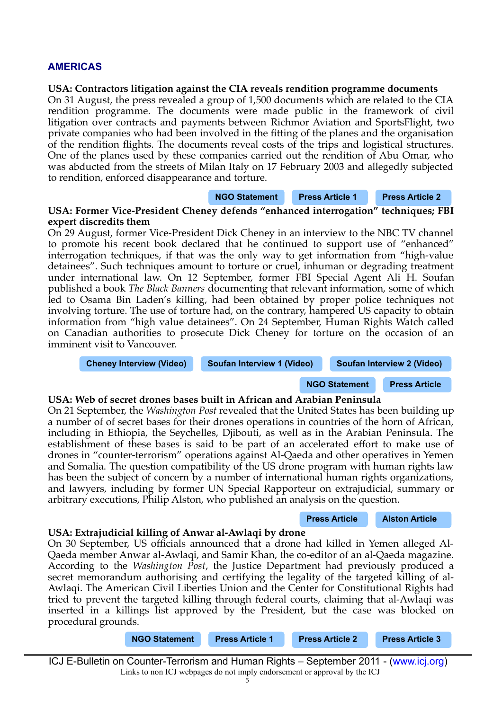### **AMERICAS**

#### **USA: Contractors litigation against the CIA reveals rendition programme documents**

On 31 August, the press revealed a group of 1,500 documents which are related to the CIA rendition programme. The documents were made public in the framework of civil litigation over contracts and payments between Richmor Aviation and SportsFlight, two private companies who had been involved in the ftting of the planes and the organisation of the rendition fights. The documents reveal costs of the trips and logistical structures. One of the planes used by these companies carried out the rendition of Abu Omar, who was abducted from the streets of Milan Italy on 17 February 2003 and allegedly subjected to rendition, enforced disappearance and torture.

#### **[NGO Statement](http://www.reprieve.org.uk/press/2011_08_31_rendition_documents/) [Press Article 1](http://www.guardian.co.uk/world/2011/aug/31/cia-rendition-flights-cost) [Press Article 2](http://www.bbc.co.uk/news/world-us-canada-14745941)**

#### **USA: Former Vice-President Cheney defends "enhanced interrogation" techniques; FBI expert discredits them**

On 29 August, former Vice-President Dick Cheney in an interview to the NBC TV channel to promote his recent book declared that he continued to support use of "enhanced" interrogation techniques, if that was the only way to get information from "high-value detainees". Such techniques amount to torture or cruel, inhuman or degrading treatment under international law. On 12 September, former FBI Special Agent Ali H. Soufan published a book *The Black Banners* documenting that relevant information, some of which led to Osama Bin Laden's killing, had been obtained by proper police techniques not involving torture. The use of torture had, on the contrary, hampered US capacity to obtain information from "high value detainees". On 24 September, Human Rights Watch called on Canadian authorities to prosecute Dick Cheney for torture on the occasion of an imminent visit to Vancouver.

**[Cheney Interview \(Video\)](http://www.msnbc.msn.com/id/3032600/vp/44316999#44316999) [Soufan Interview 1 \(Video\)](http://www.cbsnews.com/video/watch/?id=7380678n&tag=contentBody;storyMediaBox#ixzz1Xh4HzNvm) [Soufan Interview 2 \(Video\)](http://www.cbsnews.com/video/watch/?id=7380680n&tag=contentMain;contentAux#ixzz1Xh81Db6O)**

### **[NGO Statement](http://www.hrw.org/news/2011/09/24/canada-investigate-cheney-role-torture) [Press Article](http://www.newyorker.com/online/blogs/closeread/2011/09/ali-soufan-frontline-live-chat.html)**

#### **USA: Web of secret drones bases built in African and Arabian Peninsula**

On 21 September, the *Washington Post* revealed that the United States has been building up a number of of secret bases for their drones operations in countries of the horn of African, including in Ethiopia, the Seychelles, Djibouti, as well as in the Arabian Peninsula. The establishment of these bases is said to be part of an accelerated effort to make use of drones in "counter-terrorism" operations against Al-Qaeda and other operatives in Yemen and Somalia. The question compatibility of the US drone program with human rights law has been the subject of concern by a number of international human rights organizations, and lawyers, including by former UN Special Rapporteur on extrajudicial, summary or arbitrary executions, Philip Alston, who published an analysis on the question.

#### **[Press Article](http://www.washingtonpost.com/world/national-security/us-building-secret-drone-bases-in-africa-arabian-peninsula-officials-say/2011/09/20/gIQAJ8rOjK_story.html?wpisrc=al_national) [Alston Article](http://papers.ssrn.com/sol3/papers.cfm?abstract_id=1928963)**

#### **USA: Extrajudicial killing of Anwar al-Awlaqi by drone**

On 30 September, US officials announced that a drone had killed in Yemen alleged Al-Qaeda member Anwar al-Awlaqi, and Samir Khan, the co-editor of an al-Qaeda magazine. According to the *Washington Post*, the Justice Department had previously produced a secret memorandum authorising and certifying the legality of the targeted killing of al-Awlaqi. The American Civil Liberties Union and the Center for Constitutional Rights had tried to prevent the targeted killing through federal courts, claiming that al-Awlaqi was inserted in a killings list approved by the President, but the case was blocked on procedural grounds.

**[NGO Statement](http://www.aclu.org/national-security/aclu-statement-killing-anwar-al-aulaqi) [Press Article 1](http://www.aljazeera.com/news/middleeast/2011/09/201193083340115111.html) [Press Article 2](http://www.washingtonpost.com/world/national-security/strike-on-aulaqi-demonstrates-collaboration-between-cia-and-military/2011/09/30/gIQAD8xHBL_story.html?wpisrc=nl_cuzheads) [Press Article 3](http://www.guardian.co.uk/commentisfree/cifamerica/2011/sep/30/anwar-awlaki-extrajudicial-murder)**

ICJ E-Bulletin on Counter-Terrorism and Human Rights – September 2011 - [\(www.icj.org\)](http://www.icj.org/) Links to non ICJ webpages do not imply endorsement or approval by the ICJ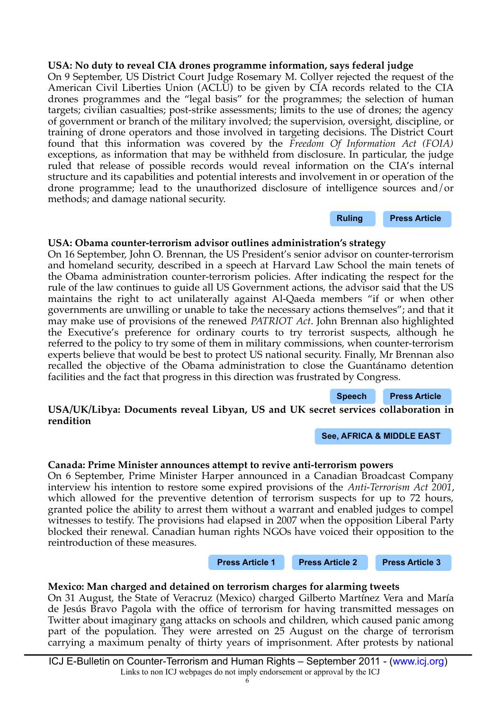#### **USA: No duty to reveal CIA drones programme information, says federal judge**

On 9 September, US District Court Judge Rosemary M. Collyer rejected the request of the American Civil Liberties Union (ACLU) to be given by CIA records related to the CIA drones programmes and the "legal basis" for the programmes; the selection of human targets; civilian casualties; post-strike assessments; limits to the use of drones; the agency of government or branch of the military involved; the supervision, oversight, discipline, or training of drone operators and those involved in targeting decisions. The District Court found that this information was covered by the *Freedom Of Information Act (FOIA)* exceptions, as information that may be withheld from disclosure. In particular, the judge ruled that release of possible records would reveal information on the CIA's internal structure and its capabilities and potential interests and involvement in or operation of the drone programme; lead to the unauthorized disclosure of intelligence sources and/or methods; and damage national security.

**[Ruling](http://www.politico.com/static/PPM229_110909_acludrones.html) [Press Article](http://old.news.yahoo.com/s/ap/20110909/ap_on_go_ca_st_pe/us_cia_drones)**

#### **USA: Obama counter-terrorism advisor outlines administration's strategy**

On 16 September, John O. Brennan, the US President's senior advisor on counter-terrorism and homeland security, described in a speech at Harvard Law School the main tenets of the Obama administration counter-terrorism policies. After indicating the respect for the rule of the law continues to guide all US Government actions, the advisor said that the US maintains the right to act unilaterally against Al-Qaeda members "if or when other governments are unwilling or unable to take the necessary actions themselves"; and that it may make use of provisions of the renewed *PATRIOT Act*. John Brennan also highlighted the Executive's preference for ordinary courts to try terrorist suspects, although he referred to the policy to try some of them in military commissions, when counter-terrorism experts believe that would be best to protect US national security. Finally, Mr Brennan also recalled the objective of the Obama administration to close the Guantánamo detention facilities and the fact that progress in this direction was frustrated by Congress.

**[Speech](http://opiniojuris.org/2011/09/16/john-brennan-speech-on-obama-administration-antiterrorism-policies-and-practices/) [Press Article](http://old.news.yahoo.com/s/ap/20110916/ap_on_re_us/us_targeting_terrorists)**

#### **USA/UK/Libya: Documents reveal Libyan, US and UK secret services collaboration in rendition**

**[See, AFRICA & MIDDLE EAST](#page-2-0)**

#### **Canada: Prime Minister announces attempt to revive anti-terrorism powers**

On 6 September, Prime Minister Harper announced in a Canadian Broadcast Company interview his intention to restore some expired provisions of the *Anti-Terrorism Act 2001*, which allowed for the preventive detention of terrorism suspects for up to 72 hours, granted police the ability to arrest them without a warrant and enabled judges to compel witnesses to testify. The provisions had elapsed in 2007 when the opposition Liberal Party blocked their renewal. Canadian human rights NGOs have voiced their opposition to the reintroduction of these measures.

#### **[Press Article 1](http://www.ottawacitizen.com/news/Harper+plans+bring+back+extraordinary+anti+terror+powers+police/5361176/story.html) [Press Article 2](http://www.vancouversun.com/news/Harper+slammed+plans+bring+back+sweeping+anti+terror+laws/5370250/story.html) [Press Article 3](http://www.ottawacitizen.com/news/Human+rights+experts+decry+Harper+plan+bring+back+anti+terror+police+powers/5367183/story.html)**

#### **Mexico: Man charged and detained on terrorism charges for alarming tweets**

On 31 August, the State of Veracruz (Mexico) charged Gilberto Martínez Vera and María de Jesús Bravo Pagola with the office of terrorism for having transmitted messages on Twitter about imaginary gang attacks on schools and children, which caused panic among part of the population. They were arrested on 25 August on the charge of terrorism carrying a maximum penalty of thirty years of imprisonment. After protests by national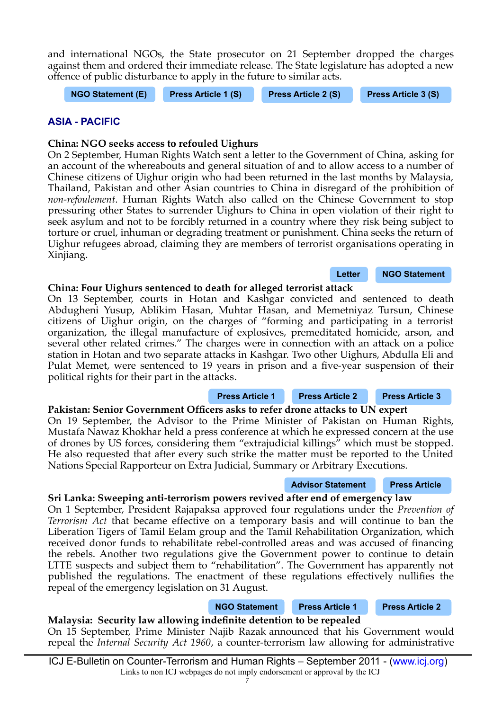ICJ E-Bulletin on Counter-Terrorism and Human Rights – September 2011 - [\(www.icj.org\)](http://www.icj.org/) Links to non ICJ webpages do not imply endorsement or approval by the ICJ

On 15 September, Prime Minister Najib Razak announced that his Government would repeal the *Internal Security Act 1960*, a counter-terrorism law allowing for administrative

and international NGOs, the State prosecutor on 21 September dropped the charges against them and ordered their immediate release. The State legislature has adopted a new offence of public disturbance to apply in the future to similar acts.

**[NGO Statement \(E\)](http://en.rsf.org/mexico-two-social-network-users-held-on-02-09-2011,40907.html) [Press Article 1 \(S\)](http://www3.elcaribe.com.do/site/portada/tecnologia/computadoras/286424-enjuiciaran-a-dos-usuarios-de-twitter-por-terrorismo-.html) [Press Article 2 \(S\)](http://www.elespectador.com/noticias/elmundo/articulo-295920-encarcelan-mexico-dos-twitteros-terrorismo) [Press Article 3 \(S\)](http://www.bbc.co.uk/mundo/noticias/2011/09/110922_tuiteros_twitter_veracruz_libres_an.shtml)**

**ASIA - PACIFIC**

### **China: NGO seeks access to refouled Uighurs**

On 2 September, Human Rights Watch sent a letter to the Government of China, asking for an account of the whereabouts and general situation of and to allow access to a number of Chinese citizens of Uighur origin who had been returned in the last months by Malaysia, Thailand, Pakistan and other Asian countries to China in disregard of the prohibition of *non-refoulement*. Human Rights Watch also called on the Chinese Government to stop pressuring other States to surrender Uighurs to China in open violation of their right to seek asylum and not to be forcibly returned in a country where they risk being subject to torture or cruel, inhuman or degrading treatment or punishment. China seeks the return of Uighur refugees abroad, claiming they are members of terrorist organisations operating in Xinjiang.

# **China: Four Uighurs sentenced to death for alleged terrorist attack**

On 13 September, courts in Hotan and Kashgar convicted and sentenced to death Abdugheni Yusup, Ablikim Hasan, Muhtar Hasan, and Memetniyaz Tursun, Chinese citizens of Uighur origin, on the charges of "forming and participating in a terrorist organization, the illegal manufacture of explosives, premeditated homicide, arson, and several other related crimes." The charges were in connection with an attack on a police station in Hotan and two separate attacks in Kashgar. Two other Uighurs, Abdulla Eli and Pulat Memet, were sentenced to 19 years in prison and a five-year suspension of their political rights for their part in the attacks.

Pakistan: Senior Government Officers asks to refer drone attacks to UN expert **[Press Article 1](http://old.news.yahoo.com/s/ap/20110915/ap_on_re_as/as_china_xinjiang) [Press Article 2](http://www.rfa.org/english/news/uyghur/death-09142011181933.html) [Press Article 3](http://old.news.yahoo.com/s/nm/20110909/wl_nm/us_china_xinjiang)**

On 19 September, the Advisor to the Prime Minister of Pakistan on Human Rights, Mustafa Nawaz Khokhar held a press conference at which he expressed concern at the use of drones by US forces, considering them "extrajudicial killings" which must be stopped. He also requested that after every such strike the matter must be reported to the United Nations Special Rapporteur on Extra Judicial, Summary or Arbitrary Executions.

# **[Advisor Statement](http://www.mohr.gov.pk/press_release.html) [Press Article](http://www.dailytimes.com.pk/default.asp?page=2011%5C09%5C20%5Cstory_20-9-2011_pg7_2)**

# **Sri Lanka: Sweeping anti-terrorism powers revived after end of emergency law**

On 1 September, President Rajapaksa approved four regulations under the *Prevention of Terrorism Act* that became effective on a temporary basis and will continue to ban the Liberation Tigers of Tamil Eelam group and the Tamil Rehabilitation Organization, which received donor funds to rehabilitate rebel-controlled areas and was accused of fnancing the rebels. Another two regulations give the Government power to continue to detain LTTE suspects and subject them to "rehabilitation". The Government has apparently not published the regulations. The enactment of these regulations effectively nullifes the repeal of the emergency legislation on 31 August.

**Malaysia: Security law allowing indefnite detention to be repealed**

**[NGO Statement](http://www.hrw.org/news/2011/09/07/sri-lanka-bait-and-switch-emergency-law) [Press Article 1](http://www.bbc.co.uk/news/world-south-asia-14735405) [Press Article 2](http://english.aljazeera.net/news/asia/2011/09/20119141421576730.html)**

**[Letter](http://www.hrw.org/sites/default/files/related_material/Human%20Rights%20Watch%20Letter%20to%20Minister%20Yang%20Jiechi%20and%20Minister%20Meng%20Jianzhu%209-1-11.pdf) [NGO Statement](http://www.hrw.org/news/2011/09/02/china-account-forcibly-returned-uighurs)**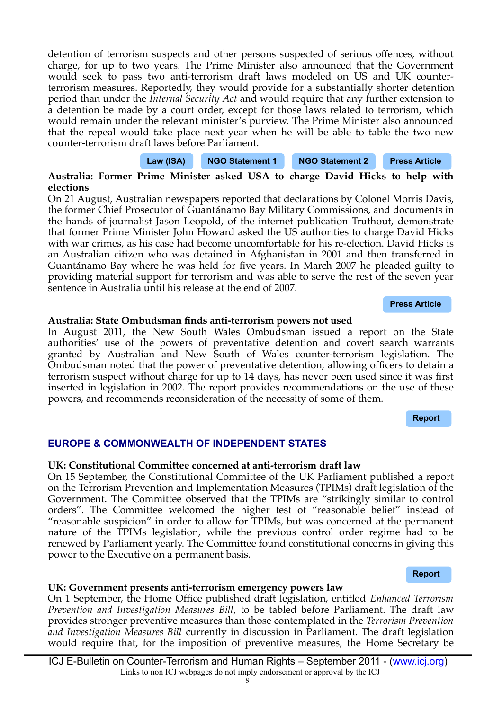detention of terrorism suspects and other persons suspected of serious offences, without charge, for up to two years. The Prime Minister also announced that the Government would seek to pass two anti-terrorism draft laws modeled on US and UK counterterrorism measures. Reportedly, they would provide for a substantially shorter detention period than under the *Internal Security Act* and would require that any further extension to a detention be made by a court order, except for those laws related to terrorism, which would remain under the relevant minister's purview. The Prime Minister also announced that the repeal would take place next year when he will be able to table the two new counter-terrorism draft laws before Parliament.



### **Australia: Former Prime Minister asked USA to charge David Hicks to help with elections**

On 21 August, Australian newspapers reported that declarations by Colonel Morris Davis, the former Chief Prosecutor of Guantánamo Bay Military Commissions, and documents in the hands of journalist Jason Leopold, of the internet publication Truthout, demonstrate that former Prime Minister John Howard asked the US authorities to charge David Hicks with war crimes, as his case had become uncomfortable for his re-election. David Hicks is an Australian citizen who was detained in Afghanistan in 2001 and then transferred in Guantánamo Bay where he was held for fve years. In March 2007 he pleaded guilty to providing material support for terrorism and was able to serve the rest of the seven year sentence in Australia until his release at the end of 2007.

#### **[Press Article](http://www.theage.com.au/national/howard-called-in-us-favour-to-charge-hicks-20110820-1j3po.html)**

#### **Australia: State Ombudsman fnds anti-terrorism powers not used**

In August 2011, the New South Wales Ombudsman issued a report on the State authorities' use of the powers of preventative detention and covert search warrants granted by Australian and New South of Wales counter-terrorism legislation. The Ombudsman noted that the power of preventative detention, allowing officers to detain a terrorism suspect without charge for up to 14 days, has never been used since it was frst inserted in legislation in 2002. The report provides recommendations on the use of these powers, and recommends reconsideration of the necessity of some of them.

**[Report](http://www.ombo.nsw.gov.au/publication/PDF/Other%20Reports/Review%20of%20Parts%202A%20and%203%20of%20the%20Terrorism%20(Police%20Powers)%20Act.pdf)**

#### **EUROPE & COMMONWEALTH OF INDEPENDENT STATES**

#### **UK: Constitutional Committee concerned at anti-terrorism draft law**

On 15 September, the Constitutional Committee of the UK Parliament published a report on the Terrorism Prevention and Implementation Measures (TPIMs) draft legislation of the Government. The Committee observed that the TPIMs are "strikingly similar to control orders". The Committee welcomed the higher test of "reasonable belief" instead of "reasonable suspicion" in order to allow for TPIMs, but was concerned at the permanent nature of the TPIMs legislation, while the previous control order regime had to be renewed by Parliament yearly. The Committee found constitutional concerns in giving this power to the Executive on a permanent basis.

#### **[Report](http://www.publications.parliament.uk/pa/ld201012/ldselect/ldconst/198/198.pdf)**

#### **UK: Government presents anti-terrorism emergency powers law**

On 1 September, the Home Offce published draft legislation, entitled *Enhanced Terrorism Prevention and Investigation Measures Bill*, to be tabled before Parliament. The draft law provides stronger preventive measures than those contemplated in the *Terrorism Prevention and Investigation Measures Bill* currently in discussion in Parliament. The draft legislation would require that, for the imposition of preventive measures, the Home Secretary be

ICJ E-Bulletin on Counter-Terrorism and Human Rights – September 2011 - [\(www.icj.org\)](http://www.icj.org/) Links to non ICJ webpages do not imply endorsement or approval by the ICJ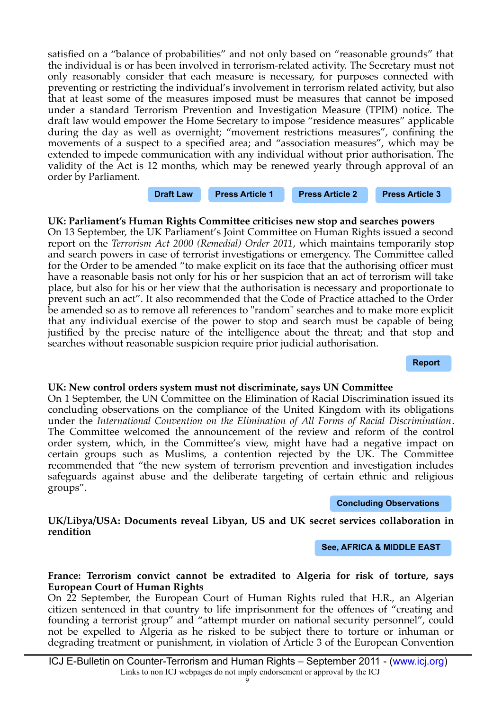satisfed on a "balance of probabilities" and not only based on "reasonable grounds" that the individual is or has been involved in terrorism-related activity. The Secretary must not only reasonably consider that each measure is necessary, for purposes connected with preventing or restricting the individual's involvement in terrorism related activity, but also that at least some of the measures imposed must be measures that cannot be imposed under a standard Terrorism Prevention and Investigation Measure (TPIM) notice. The draft law would empower the Home Secretary to impose "residence measures" applicable during the day as well as overnight; "movement restrictions measures", confning the movements of a suspect to a specifed area; and "association measures", which may be extended to impede communication with any individual without prior authorisation. The validity of the Act is 12 months, which may be renewed yearly through approval of an order by Parliament.

# **[Draft Law](http://www.homeoffice.gov.uk/publications/about-us/legislation/etpim-bill-docs/etpim-draft-bill?view=Binary) [Press Article 1](http://www.independent.co.uk/news/uk/home-news/new-powers-to-relocate-terror-suspects-revealed-2347975.html) [Press Article 2](http://www.bbc.co.uk/news/uk-14751670) [Press Article 3](http://www.bbc.co.uk/news/uk-14797359)**

# **UK: Parliament's Human Rights Committee criticises new stop and searches powers**

On 13 September, the UK Parliament's Joint Committee on Human Rights issued a second report on the *Terrorism Act 2000 (Remedial) Order 2011*, which maintains temporarily stop and search powers in case of terrorist investigations or emergency. The Committee called for the Order to be amended "to make explicit on its face that the authorising officer must have a reasonable basis not only for his or her suspicion that an act of terrorism will take place, but also for his or her view that the authorisation is necessary and proportionate to prevent such an act". It also recommended that the Code of Practice attached to the Order be amended so as to remove all references to "random" searches and to make more explicit that any individual exercise of the power to stop and search must be capable of being justifed by the precise nature of the intelligence about the threat; and that stop and searches without reasonable suspicion require prior judicial authorisation.

**[Report](http://www.publications.parliament.uk/pa/jt201012/jtselect/jtrights/192/19202.htm)**

#### **UK: New control orders system must not discriminate, says UN Committee**

On 1 September, the UN Committee on the Elimination of Racial Discrimination issued its concluding observations on the compliance of the United Kingdom with its obligations under the *International Convention on the Elimination of All Forms of Racial Discrimination*. The Committee welcomed the announcement of the review and reform of the control order system, which, in the Committee's view, might have had a negative impact on certain groups such as Muslims, a contention rejected by the UK. The Committee recommended that "the new system of terrorism prevention and investigation includes safeguards against abuse and the deliberate targeting of certain ethnic and religious groups".

**[Concluding Observations](http://www2.ohchr.org/english/bodies/cerd/docs/UK_COBs_CERD79.pdf)**

#### **UK/Libya/USA: Documents reveal Libyan, US and UK secret services collaboration in rendition**

**[See, AFRICA & MIDDLE EAST](#page-2-0)**

#### **France: Terrorism convict cannot be extradited to Algeria for risk of torture, says European Court of Human Rights**

On 22 September, the European Court of Human Rights ruled that H.R., an Algerian citizen sentenced in that country to life imprisonment for the offences of "creating and founding a terrorist group" and "attempt murder on national security personnel", could not be expelled to Algeria as he risked to be subject there to torture or inhuman or degrading treatment or punishment, in violation of Article 3 of the European Convention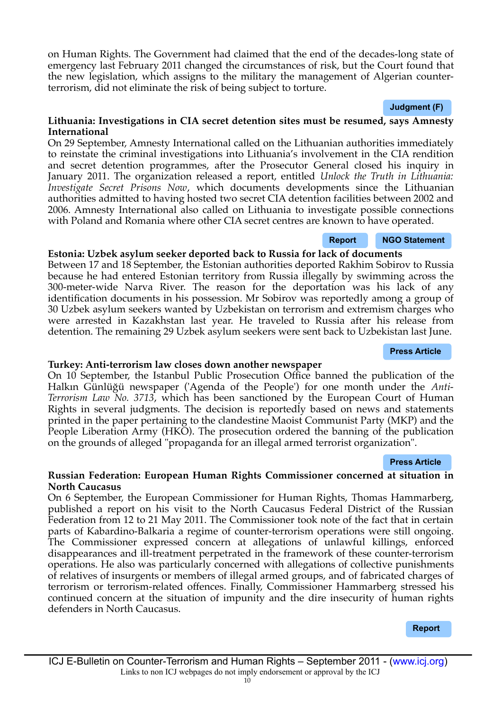on Human Rights. The Government had claimed that the end of the decades-long state of emergency last February 2011 changed the circumstances of risk, but the Court found that the new legislation, which assigns to the military the management of Algerian counterterrorism, did not eliminate the risk of being subject to torture.

#### **[Judgment \(F\)](http://cmiskp.echr.coe.int/tkp197/view.asp?action=html&documentId=892127&portal=hbkm&source=externalbydocnumber&table=F69A27FD8FB86142BF01C1166DEA398649)**

#### **Lithuania: Investigations in CIA secret detention sites must be resumed, says Amnesty International**

On 29 September, Amnesty International called on the Lithuanian authorities immediately to reinstate the criminal investigations into Lithuania's involvement in the CIA rendition and secret detention programmes, after the Prosecutor General closed his inquiry in January 2011. The organization released a report, entitled *Unlock the Truth in Lithuania: Investigate Secret Prisons Now*, which documents developments since the Lithuanian authorities admitted to having hosted two secret CIA detention facilities between 2002 and 2006. Amnesty International also called on Lithuania to investigate possible connections with Poland and Romania where other CIA secret centres are known to have operated.

#### **Estonia: Uzbek asylum seeker deported back to Russia for lack of documents**

Between 17 and 18 September, the Estonian authorities deported Rakhim Sobirov to Russia because he had entered Estonian territory from Russia illegally by swimming across the 300-meter-wide Narva River. The reason for the deportation was his lack of any identifcation documents in his possession. Mr Sobirov was reportedly among a group of 30 Uzbek asylum seekers wanted by Uzbekistan on terrorism and extremism charges who were arrested in Kazakhstan last year. He traveled to Russia after his release from detention. The remaining 29 Uzbek asylum seekers were sent back to Uzbekistan last June.

# **Turkey: Anti-terrorism law closes down another newspaper**

On 10 September, the Istanbul Public Prosecution Office banned the publication of the Halkın Günlüğü newspaper ('Agenda of the People') for one month under the *Anti-Terrorism Law No. 3713*, which has been sanctioned by the European Court of Human Rights in several judgments. The decision is reportedly based on news and statements printed in the paper pertaining to the clandestine Maoist Communist Party (MKP) and the People Liberation Army (HKO). The prosecution ordered the banning of the publication on the grounds of alleged "propaganda for an illegal armed terrorist organization".

#### **[Press Article](http://bianet.org/english/freedom-of-expression/132695-halkin-gunlugu-newspaper-banned-for-1-month)**

#### **Russian Federation: European Human Rights Commissioner concerned at situation in North Caucasus**

On 6 September, the European Commissioner for Human Rights, Thomas Hammarberg, published a report on his visit to the North Caucasus Federal District of the Russian Federation from 12 to 21 May 2011. The Commissioner took note of the fact that in certain parts of Kabardino-Balkaria a regime of counter-terrorism operations were still ongoing. The Commissioner expressed concern at allegations of unlawful killings, enforced disappearances and ill-treatment perpetrated in the framework of these counter-terrorism operations. He also was particularly concerned with allegations of collective punishments of relatives of insurgents or members of illegal armed groups, and of fabricated charges of terrorism or terrorism-related offences. Finally, Commissioner Hammarberg stressed his continued concern at the situation of impunity and the dire insecurity of human rights defenders in North Caucasus.

**[Report](https://wcd.coe.int/wcd/ViewDoc.jsp?id=1825257)**

# **[Press Article](http://www.rferl.org/content/uzbekistan_asylum_seeker_russia_kazakhstan/24334237.html)**

**[Report](http://www.amnesty.org/en/library/asset/EUR53/002/2011/en/dd6dc600-25ea-4299-8aec-1d3d16639d4c/eur530022011en.pdf) [NGO Statement](http://www.amnesty.org/en/news-and-updates/report/lithuania-re-open-secret-prison-investigation-now-2011-09-29)**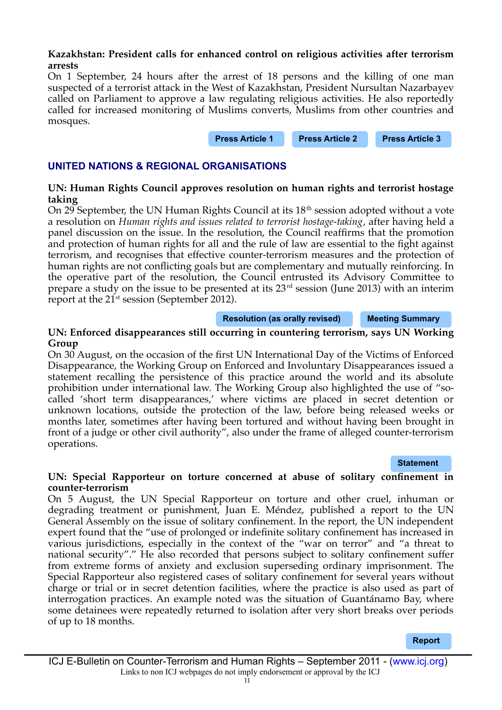#### **Kazakhstan: President calls for enhanced control on religious activities after terrorism arrests**

On 1 September, 24 hours after the arrest of 18 persons and the killing of one man suspected of a terrorist attack in the West of Kazakhstan, President Nursultan Nazarbayev called on Parliament to approve a law regulating religious activities. He also reportedly called for increased monitoring of Muslims converts, Muslims from other countries and mosques.

**[Press Article 1](http://www.telegraph.co.uk/news/worldnews/asia/kazakhstan/8734730/Kazakh-President-wants-to-monitor-Muslims-more-closely-after-18-arrested-for-terrorism.html) [Press Article 2](http://www.rferl.org/content/kazakhstan_says_18_terrorist_suspects_detained/24313557.html) [Press Article 3](http://www.rferl.org/content/alleged_extremist_killed_in_west_kazakhstan/24313125.html)**

### **UNITED NATIONS & REGIONAL ORGANISATIONS**

#### **UN: Human Rights Council approves resolution on human rights and terrorist hostage taking**

On 29 September, the UN Human Rights Council at its  $18<sup>th</sup>$  session adopted without a vote a resolution on *Human rights and issues related to terrorist hostage-taking*, after having held a panel discussion on the issue. In the resolution, the Council reaffrms that the promotion and protection of human rights for all and the rule of law are essential to the fight against terrorism, and recognises that effective counter-terrorism measures and the protection of human rights are not conficting goals but are complementary and mutually reinforcing. In the operative part of the resolution, the Council entrusted its Advisory Committee to prepare a study on the issue to be presented at its  $23<sup>rd</sup>$  session (June 2013) with an interim report at the 21<sup>st</sup> session (September 2012).

**[Resolution \(as orally revised\)](https://www.icj.org/img/RESHRC18Hostage_Rev.pdf) [Meeting Summary](http://www2.ohchr.org/english/bodies/hrcouncil/docs/18session/A-HRC-18-29_en.pdf)**

#### **UN: Enforced disappearances still occurring in countering terrorism, says UN Working Group**

On 30 August, on the occasion of the frst UN International Day of the Victims of Enforced Disappearance, the Working Group on Enforced and Involuntary Disappearances issued a statement recalling the persistence of this practice around the world and its absolute prohibition under international law. The Working Group also highlighted the use of "socalled 'short term disappearances,' where victims are placed in secret detention or unknown locations, outside the protection of the law, before being released weeks or months later, sometimes after having been tortured and without having been brought in front of a judge or other civil authority", also under the frame of alleged counter-terrorism operations.

#### **[Statement](http://www.ohchr.org/EN/NewsEvents/Pages/DisplayNews.aspx?NewsID=11340&LangID=E)**

#### **UN: Special Rapporteur on torture concerned at abuse of solitary confnement in counter-terrorism**

On 5 August, the UN Special Rapporteur on torture and other cruel, inhuman or degrading treatment or punishment, Juan E. Méndez, published a report to the UN General Assembly on the issue of solitary confnement. In the report, the UN independent expert found that the "use of prolonged or indefnite solitary confnement has increased in various jurisdictions, especially in the context of the "war on terror" and "a threat to national security"." He also recorded that persons subject to solitary confnement suffer from extreme forms of anxiety and exclusion superseding ordinary imprisonment. The Special Rapporteur also registered cases of solitary confnement for several years without charge or trial or in secret detention facilities, where the practice is also used as part of interrogation practices. An example noted was the situation of Guantánamo Bay, where some detainees were repeatedly returned to isolation after very short breaks over periods of up to 18 months.

**[Report](http://www2.ohchr.org/english/issues/torture/rapporteur/index.htm)**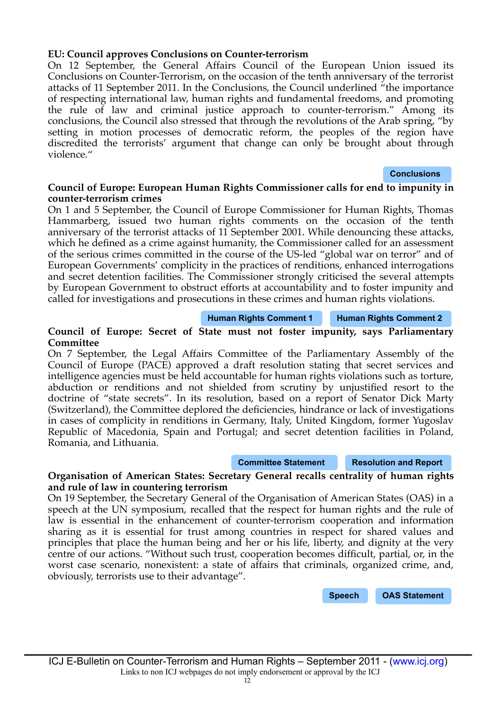#### **EU: Council approves Conclusions on Counter-terrorism**

On 12 September, the General Affairs Council of the European Union issued its Conclusions on Counter-Terrorism, on the occasion of the tenth anniversary of the terrorist attacks of 11 September 2011. In the Conclusions, the Council underlined "the importance of respecting international law, human rights and fundamental freedoms, and promoting the rule of law and criminal justice approach to counter-terrorism." Among its conclusions, the Council also stressed that through the revolutions of the Arab spring, "by setting in motion processes of democratic reform, the peoples of the region have discredited the terrorists' argument that change can only be brought about through violence."

#### **[Conclusions](http://www.consilium.europa.eu/uedocs/cms_data/docs/pressdata/en/jha/124566.pdf)**

#### **Council of Europe: European Human Rights Commissioner calls for end to impunity in counter-terrorism crimes**

On 1 and 5 September, the Council of Europe Commissioner for Human Rights, Thomas Hammarberg, issued two human rights comments on the occasion of the tenth anniversary of the terrorist attacks of 11 September 2001. While denouncing these attacks, which he defined as a crime against humanity, the Commissioner called for an assessment of the serious crimes committed in the course of the US-led "global war on terror" and of European Governments' complicity in the practices of renditions, enhanced interrogations and secret detention facilities. The Commissioner strongly criticised the several attempts by European Government to obstruct efforts at accountability and to foster impunity and called for investigations and prosecutions in these crimes and human rights violations.

#### **[Human Rights Comment 1](http://commissioner.cws.coe.int/tiki-view_blog_post.php?postId=172) [Human Rights Comment 2](http://commissioner.cws.coe.int/tiki-view_blog_post.php?postId=175)**

#### **Council of Europe: Secret of State must not foster impunity, says Parliamentary Committee**

On 7 September, the Legal Affairs Committee of the Parliamentary Assembly of the Council of Europe (PACE) approved a draft resolution stating that secret services and intelligence agencies must be held accountable for human rights violations such as torture, abduction or renditions and not shielded from scrutiny by unjustifed resort to the doctrine of "state secrets". In its resolution, based on a report of Senator Dick Marty (Switzerland), the Committee deplored the defciencies, hindrance or lack of investigations in cases of complicity in renditions in Germany, Italy, United Kingdom, former Yugoslav Republic of Macedonia, Spain and Portugal; and secret detention facilities in Poland, Romania, and Lithuania.

#### **[Committee Statement](http://assembly.coe.int/ASP/NewsManager/EMB_NewsManagerView.asp?ID=6901&L=2) [Resolution and Report](http://www.statewatch.org/news/2011/sep/coe-marty-state-secrecy-and-nat-sec.pdf)**

#### **Organisation of American States: Secretary General recalls centrality of human rights and rule of law in countering terrorism**

On 19 September, the Secretary General of the Organisation of American States (OAS) in a speech at the UN symposium, recalled that the respect for human rights and the rule of law is essential in the enhancement of counter-terrorism cooperation and information sharing as it is essential for trust among countries in respect for shared values and principles that place the human being and her or his life, liberty, and dignity at the very centre of our actions. "Without such trust, cooperation becomes difficult, partial, or, in the worst case scenario, nonexistent: a state of affairs that criminals, organized crime, and, obviously, terrorists use to their advantage".

**[Speech](http://www.oas.org/en/about/speech_secretary_general.asp?sCodigo=11-0145) [OAS Statement](http://www.oas.org/en/media_center/press_release.asp?sCodigo=E-846/11)**